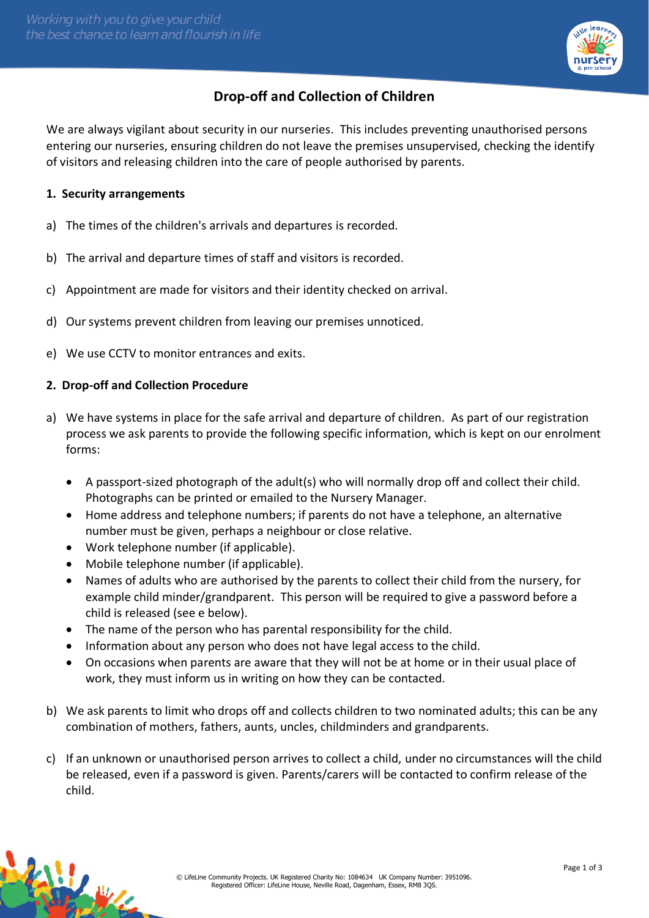

# **Drop-off and Collection of Children**

We are always vigilant about security in our nurseries. This includes preventing unauthorised persons entering our nurseries, ensuring children do not leave the premises unsupervised, checking the identify of visitors and releasing children into the care of people authorised by parents.

## **1. Security arrangements**

- a) The times of the children's arrivals and departures is recorded.
- b) The arrival and departure times of staff and visitors is recorded.
- c) Appointment are made for visitors and their identity checked on arrival.
- d) Our systems prevent children from leaving our premises unnoticed.
- e) We use CCTV to monitor entrances and exits.

## **2. Drop-off and Collection Procedure**

- a) We have systems in place for the safe arrival and departure of children. As part of our registration process we ask parents to provide the following specific information, which is kept on our enrolment forms:
	- A passport-sized photograph of the adult(s) who will normally drop off and collect their child. Photographs can be printed or emailed to the Nursery Manager.
	- Home address and telephone numbers; if parents do not have a telephone, an alternative number must be given, perhaps a neighbour or close relative.
	- Work telephone number (if applicable).
	- Mobile telephone number (if applicable).
	- Names of adults who are authorised by the parents to collect their child from the nursery, for example child minder/grandparent. This person will be required to give a password before a child is released (see e below).
	- The name of the person who has parental responsibility for the child.
	- Information about any person who does not have legal access to the child.
	- On occasions when parents are aware that they will not be at home or in their usual place of work, they must inform us in writing on how they can be contacted.
- b) We ask parents to limit who drops off and collects children to two nominated adults; this can be any combination of mothers, fathers, aunts, uncles, childminders and grandparents.
- c) If an unknown or unauthorised person arrives to collect a child, under no circumstances will the child be released, even if a password is given. Parents/carers will be contacted to confirm release of the child.

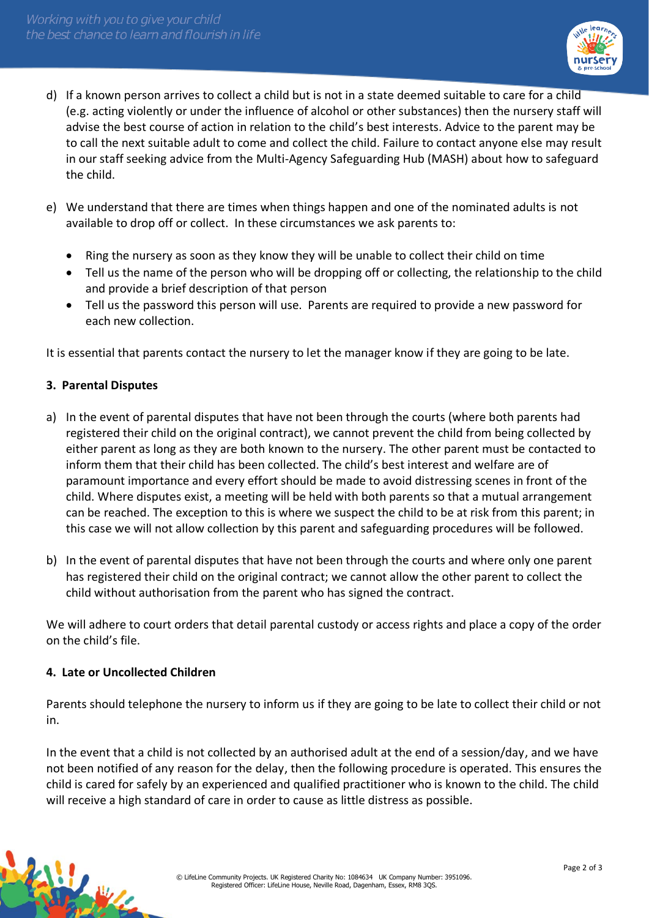

- d) If a known person arrives to collect a child but is not in a state deemed suitable to care for a child (e.g. acting violently or under the influence of alcohol or other substances) then the nursery staff will advise the best course of action in relation to the child's best interests. Advice to the parent may be to call the next suitable adult to come and collect the child. Failure to contact anyone else may result in our staff seeking advice from the Multi-Agency Safeguarding Hub (MASH) about how to safeguard the child.
- e) We understand that there are times when things happen and one of the nominated adults is not available to drop off or collect. In these circumstances we ask parents to:
	- Ring the nursery as soon as they know they will be unable to collect their child on time
	- Tell us the name of the person who will be dropping off or collecting, the relationship to the child and provide a brief description of that person
	- Tell us the password this person will use. Parents are required to provide a new password for each new collection.

It is essential that parents contact the nursery to let the manager know if they are going to be late.

### **3. Parental Disputes**

- a) In the event of parental disputes that have not been through the courts (where both parents had registered their child on the original contract), we cannot prevent the child from being collected by either parent as long as they are both known to the nursery. The other parent must be contacted to inform them that their child has been collected. The child's best interest and welfare are of paramount importance and every effort should be made to avoid distressing scenes in front of the child. Where disputes exist, a meeting will be held with both parents so that a mutual arrangement can be reached. The exception to this is where we suspect the child to be at risk from this parent; in this case we will not allow collection by this parent and safeguarding procedures will be followed.
- b) In the event of parental disputes that have not been through the courts and where only one parent has registered their child on the original contract; we cannot allow the other parent to collect the child without authorisation from the parent who has signed the contract.

We will adhere to court orders that detail parental custody or access rights and place a copy of the order on the child's file.

### **4. Late or Uncollected Children**

Parents should telephone the nursery to inform us if they are going to be late to collect their child or not in.

In the event that a child is not collected by an authorised adult at the end of a session/day, and we have not been notified of any reason for the delay, then the following procedure is operated. This ensures the child is cared for safely by an experienced and qualified practitioner who is known to the child. The child will receive a high standard of care in order to cause as little distress as possible.